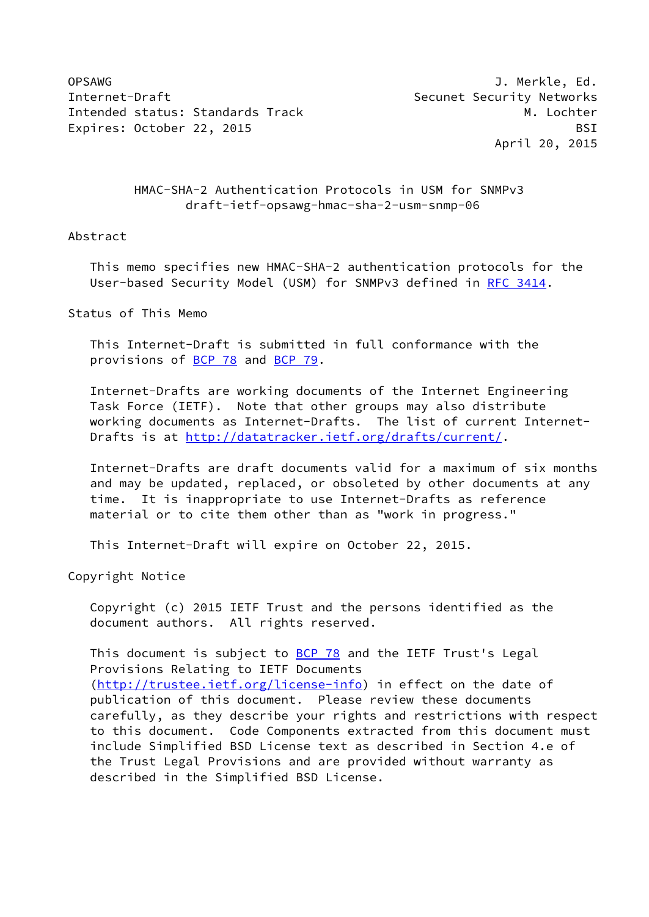OPSAWG J. Merkle, Ed. Internet-Draft Security Networks Intended status: Standards Track M. Lochter Expires: October 22, 2015 BSI

April 20, 2015

 HMAC-SHA-2 Authentication Protocols in USM for SNMPv3 draft-ietf-opsawg-hmac-sha-2-usm-snmp-06

## Abstract

 This memo specifies new HMAC-SHA-2 authentication protocols for the User-based Security Model (USM) for SNMPv3 defined in [RFC 3414](https://datatracker.ietf.org/doc/pdf/rfc3414).

Status of This Memo

 This Internet-Draft is submitted in full conformance with the provisions of [BCP 78](https://datatracker.ietf.org/doc/pdf/bcp78) and [BCP 79](https://datatracker.ietf.org/doc/pdf/bcp79).

 Internet-Drafts are working documents of the Internet Engineering Task Force (IETF). Note that other groups may also distribute working documents as Internet-Drafts. The list of current Internet- Drafts is at<http://datatracker.ietf.org/drafts/current/>.

 Internet-Drafts are draft documents valid for a maximum of six months and may be updated, replaced, or obsoleted by other documents at any time. It is inappropriate to use Internet-Drafts as reference material or to cite them other than as "work in progress."

This Internet-Draft will expire on October 22, 2015.

Copyright Notice

 Copyright (c) 2015 IETF Trust and the persons identified as the document authors. All rights reserved.

This document is subject to **[BCP 78](https://datatracker.ietf.org/doc/pdf/bcp78)** and the IETF Trust's Legal Provisions Relating to IETF Documents [\(http://trustee.ietf.org/license-info](http://trustee.ietf.org/license-info)) in effect on the date of publication of this document. Please review these documents carefully, as they describe your rights and restrictions with respect to this document. Code Components extracted from this document must include Simplified BSD License text as described in Section 4.e of the Trust Legal Provisions and are provided without warranty as described in the Simplified BSD License.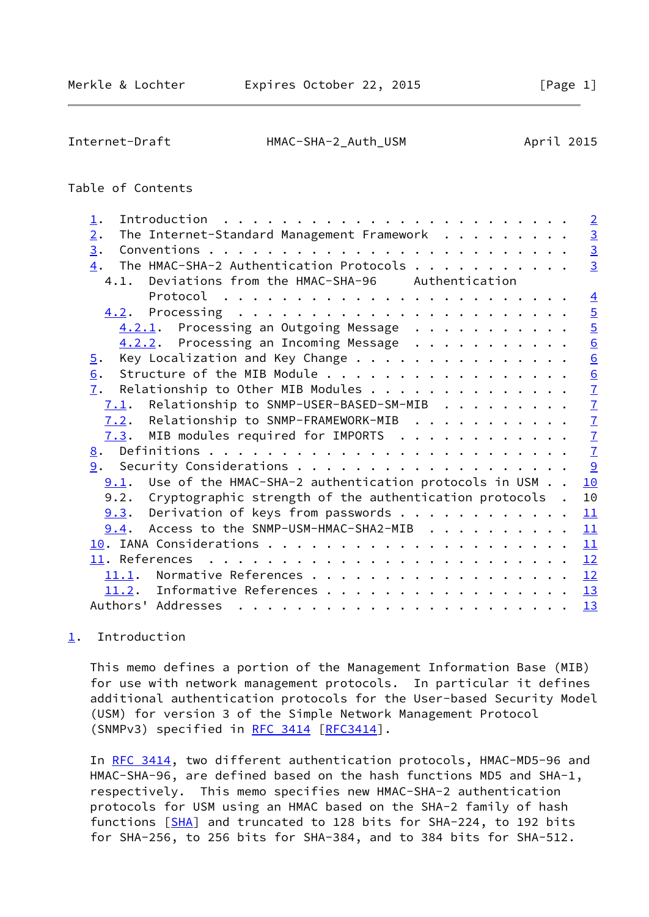<span id="page-1-1"></span>

## Table of Contents

| $\mathbf 1$ .                                                                                                                                                                                                                                   | $\overline{2}$  |
|-------------------------------------------------------------------------------------------------------------------------------------------------------------------------------------------------------------------------------------------------|-----------------|
| The Internet-Standard Management Framework<br>2.                                                                                                                                                                                                | $\frac{3}{3}$   |
| 3.                                                                                                                                                                                                                                              |                 |
| The HMAC-SHA-2 Authentication Protocols<br>4.                                                                                                                                                                                                   | $\overline{3}$  |
| 4.1. Deviations from the HMAC-SHA-96 Authentication                                                                                                                                                                                             |                 |
| Protocol $\ldots \ldots \ldots \ldots \ldots \ldots \ldots \ldots$                                                                                                                                                                              | $\overline{4}$  |
| Processing $\ldots \ldots \ldots \ldots \ldots \ldots \ldots \ldots$<br><u>4.2</u> .                                                                                                                                                            | $\overline{5}$  |
| $4.2.1$ . Processing an Outgoing Message                                                                                                                                                                                                        | $\overline{5}$  |
| $4.2.2$ . Processing an Incoming Message                                                                                                                                                                                                        | $\underline{6}$ |
| Key Localization and Key Change<br>$\overline{5}$ .                                                                                                                                                                                             | 6               |
| Structure of the MIB Module<br>$\underline{6}$ .                                                                                                                                                                                                |                 |
| 7.<br>Relationship to Other MIB Modules                                                                                                                                                                                                         | $\frac{6}{7}$   |
| $7.1$ . Relationship to SNMP-USER-BASED-SM-MIB                                                                                                                                                                                                  | $\overline{1}$  |
| 7.2. Relationship to SNMP-FRAMEWORK-MIB                                                                                                                                                                                                         | $\overline{1}$  |
| $7.3$ . MIB modules required for IMPORTS                                                                                                                                                                                                        | $\overline{1}$  |
| 8.                                                                                                                                                                                                                                              | $\mathbf{Z}$    |
|                                                                                                                                                                                                                                                 |                 |
| Use of the HMAC-SHA-2 authentication protocols in USM<br>9.1.                                                                                                                                                                                   | 10              |
| 9.2. Cryptographic strength of the authentication protocols.                                                                                                                                                                                    | 10              |
| $9.3$ . Derivation of keys from passwords                                                                                                                                                                                                       | 11              |
| Access to the SNMP-USM-HMAC-SHA2-MIB<br>9.4.                                                                                                                                                                                                    | 11              |
|                                                                                                                                                                                                                                                 | 11              |
| 11. References<br>. The contract of the contract of the contract of the contract of the contract of the contract of the contract of the contract of the contract of the contract of the contract of the contract of the contract of the contrac | 12              |
| 11.1.                                                                                                                                                                                                                                           | 12              |
| 11.2. Informative References                                                                                                                                                                                                                    | 13              |
| Authors' Addresses                                                                                                                                                                                                                              | 13              |
|                                                                                                                                                                                                                                                 |                 |

# <span id="page-1-0"></span>[1](#page-1-0). Introduction

 This memo defines a portion of the Management Information Base (MIB) for use with network management protocols. In particular it defines additional authentication protocols for the User-based Security Model (USM) for version 3 of the Simple Network Management Protocol (SNMPv3) specified in [RFC 3414](https://datatracker.ietf.org/doc/pdf/rfc3414) [\[RFC3414](https://datatracker.ietf.org/doc/pdf/rfc3414)].

 In [RFC 3414,](https://datatracker.ietf.org/doc/pdf/rfc3414) two different authentication protocols, HMAC-MD5-96 and HMAC-SHA-96, are defined based on the hash functions MD5 and SHA-1, respectively. This memo specifies new HMAC-SHA-2 authentication protocols for USM using an HMAC based on the SHA-2 family of hash functions [[SHA](#page-13-2)] and truncated to 128 bits for SHA-224, to 192 bits for SHA-256, to 256 bits for SHA-384, and to 384 bits for SHA-512.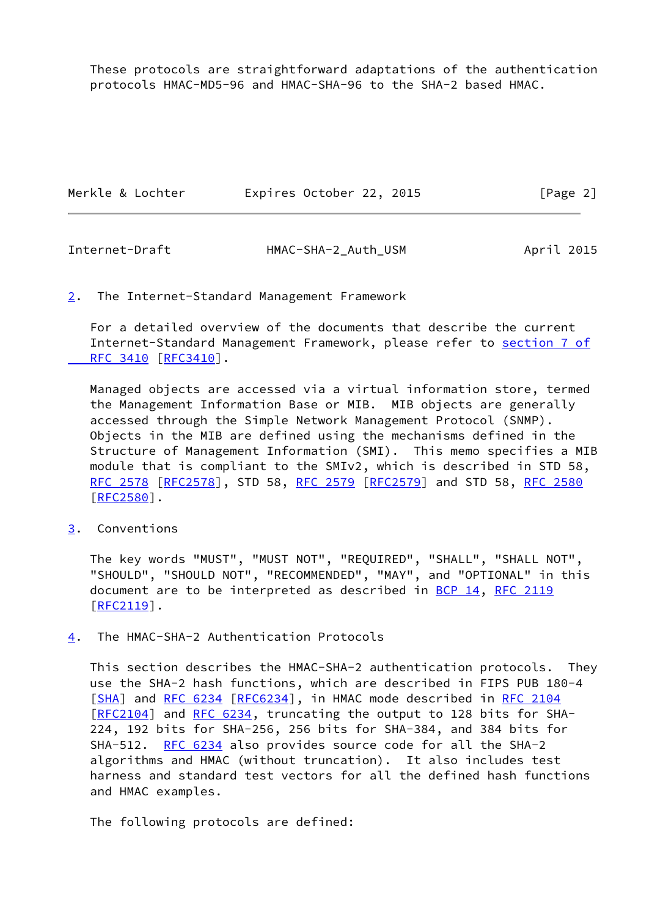These protocols are straightforward adaptations of the authentication protocols HMAC-MD5-96 and HMAC-SHA-96 to the SHA-2 based HMAC.

| Merkle & Lochter | Expires October 22, 2015 | [Page 2] |
|------------------|--------------------------|----------|
|                  |                          |          |

<span id="page-2-1"></span>

| Internet-Draft | HMAC-SHA-2 Auth USM | April 2015 |
|----------------|---------------------|------------|
|----------------|---------------------|------------|

#### <span id="page-2-0"></span>[2](#page-2-0). The Internet-Standard Management Framework

 For a detailed overview of the documents that describe the current Internet-Standard Management Framework, please refer to [section](https://datatracker.ietf.org/doc/pdf/rfc3410#section-7) 7 of  [RFC 3410](https://datatracker.ietf.org/doc/pdf/rfc3410#section-7) [\[RFC3410](https://datatracker.ietf.org/doc/pdf/rfc3410)].

 Managed objects are accessed via a virtual information store, termed the Management Information Base or MIB. MIB objects are generally accessed through the Simple Network Management Protocol (SNMP). Objects in the MIB are defined using the mechanisms defined in the Structure of Management Information (SMI). This memo specifies a MIB module that is compliant to the SMIv2, which is described in STD 58, [RFC 2578](https://datatracker.ietf.org/doc/pdf/rfc2578) [\[RFC2578](https://datatracker.ietf.org/doc/pdf/rfc2578)], STD 58, [RFC 2579 \[RFC2579](https://datatracker.ietf.org/doc/pdf/rfc2579)] and STD 58, [RFC 2580](https://datatracker.ietf.org/doc/pdf/rfc2580) [\[RFC2580](https://datatracker.ietf.org/doc/pdf/rfc2580)].

<span id="page-2-2"></span>[3](#page-2-2). Conventions

 The key words "MUST", "MUST NOT", "REQUIRED", "SHALL", "SHALL NOT", "SHOULD", "SHOULD NOT", "RECOMMENDED", "MAY", and "OPTIONAL" in this document are to be interpreted as described in [BCP 14](https://datatracker.ietf.org/doc/pdf/bcp14), [RFC 2119](https://datatracker.ietf.org/doc/pdf/rfc2119)  $[REC2119]$ .

<span id="page-2-3"></span>[4](#page-2-3). The HMAC-SHA-2 Authentication Protocols

 This section describes the HMAC-SHA-2 authentication protocols. They use the SHA-2 hash functions, which are described in FIPS PUB 180-4 [\[SHA](#page-13-2)] and [RFC 6234](https://datatracker.ietf.org/doc/pdf/rfc6234) [[RFC6234\]](https://datatracker.ietf.org/doc/pdf/rfc6234), in HMAC mode described in [RFC 2104](https://datatracker.ietf.org/doc/pdf/rfc2104) [\[RFC2104](https://datatracker.ietf.org/doc/pdf/rfc2104)] and [RFC 6234](https://datatracker.ietf.org/doc/pdf/rfc6234), truncating the output to 128 bits for SHA- 224, 192 bits for SHA-256, 256 bits for SHA-384, and 384 bits for SHA-512. [RFC 6234](https://datatracker.ietf.org/doc/pdf/rfc6234) also provides source code for all the SHA-2 algorithms and HMAC (without truncation). It also includes test harness and standard test vectors for all the defined hash functions and HMAC examples.

The following protocols are defined: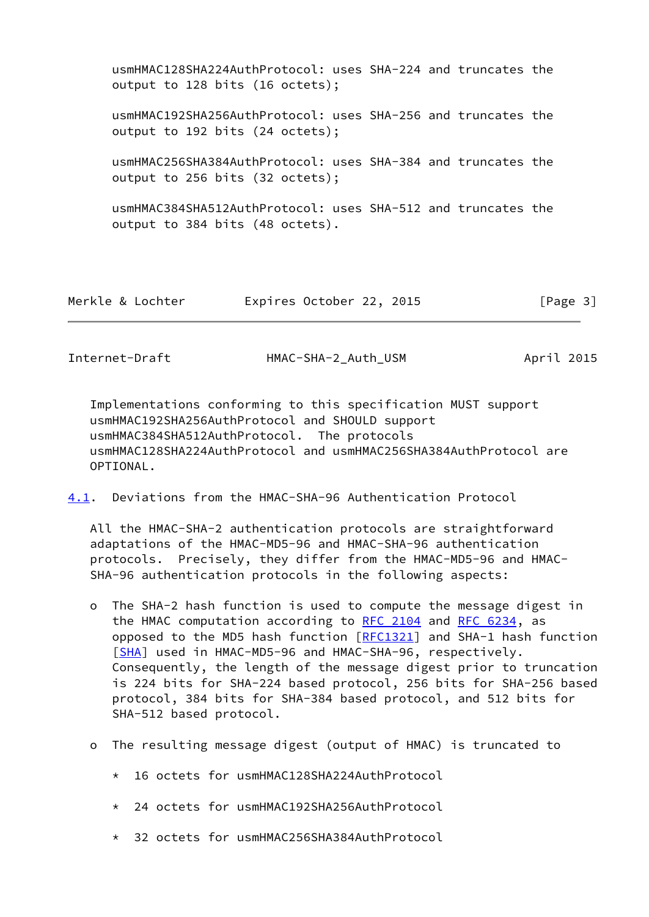| usmHMAC128SHA224AuthProtocol: uses SHA-224 and truncates the<br>output to 128 bits (16 octets); |  |  |
|-------------------------------------------------------------------------------------------------|--|--|
| usmHMAC192SHA256AuthProtocol: uses SHA-256 and truncates the<br>output to 192 bits (24 octets); |  |  |
| usmHMAC256SHA384AuthProtocol: uses SHA-384 and truncates the<br>output to 256 bits (32 octets); |  |  |
| usmHMAC384SHA512AuthProtocol: uses SHA-512 and truncates the<br>output to 384 bits (48 octets). |  |  |

| Merkle & Lochter | Expires October 22, 2015 |  | [Page 3] |
|------------------|--------------------------|--|----------|
|------------------|--------------------------|--|----------|

<span id="page-3-0"></span>Internet-Draft HMAC-SHA-2 Auth USM April 2015

 Implementations conforming to this specification MUST support usmHMAC192SHA256AuthProtocol and SHOULD support usmHMAC384SHA512AuthProtocol. The protocols usmHMAC128SHA224AuthProtocol and usmHMAC256SHA384AuthProtocol are OPTIONAL.

<span id="page-3-1"></span>[4.1](#page-3-1). Deviations from the HMAC-SHA-96 Authentication Protocol

 All the HMAC-SHA-2 authentication protocols are straightforward adaptations of the HMAC-MD5-96 and HMAC-SHA-96 authentication protocols. Precisely, they differ from the HMAC-MD5-96 and HMAC- SHA-96 authentication protocols in the following aspects:

- o The SHA-2 hash function is used to compute the message digest in the HMAC computation according to [RFC 2104](https://datatracker.ietf.org/doc/pdf/rfc2104) and [RFC 6234](https://datatracker.ietf.org/doc/pdf/rfc6234), as opposed to the MD5 hash function  $[REC1321]$  and SHA-1 hash function [[SHA\]](#page-13-2) used in HMAC-MD5-96 and HMAC-SHA-96, respectively. Consequently, the length of the message digest prior to truncation is 224 bits for SHA-224 based protocol, 256 bits for SHA-256 based protocol, 384 bits for SHA-384 based protocol, and 512 bits for SHA-512 based protocol.
- o The resulting message digest (output of HMAC) is truncated to
	- \* 16 octets for usmHMAC128SHA224AuthProtocol
	- \* 24 octets for usmHMAC192SHA256AuthProtocol
	- \* 32 octets for usmHMAC256SHA384AuthProtocol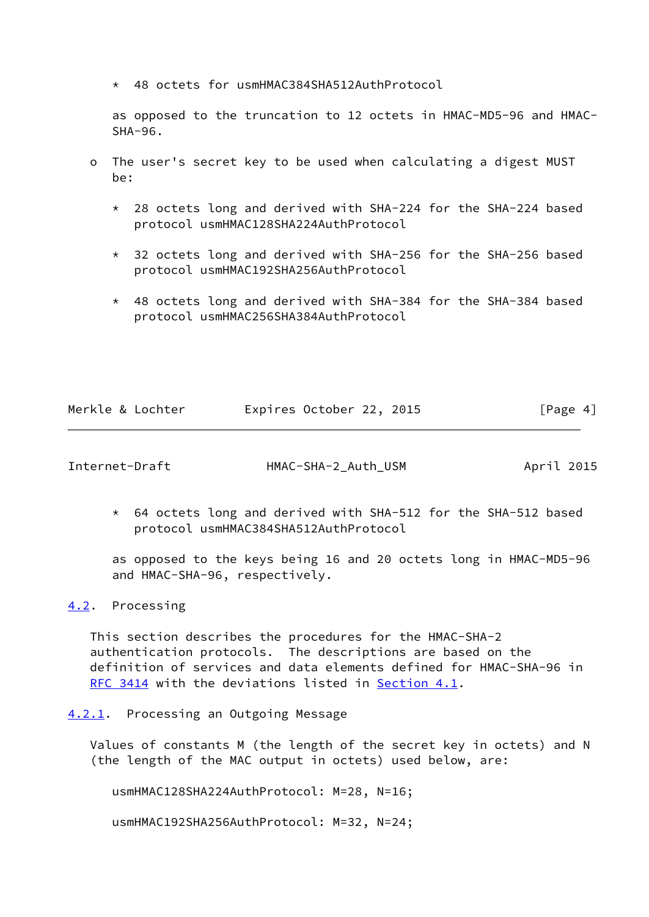\* 48 octets for usmHMAC384SHA512AuthProtocol

 as opposed to the truncation to 12 octets in HMAC-MD5-96 and HMAC- SHA-96.

- o The user's secret key to be used when calculating a digest MUST be:
	- \* 28 octets long and derived with SHA-224 for the SHA-224 based protocol usmHMAC128SHA224AuthProtocol
	- \* 32 octets long and derived with SHA-256 for the SHA-256 based protocol usmHMAC192SHA256AuthProtocol
	- \* 48 octets long and derived with SHA-384 for the SHA-384 based protocol usmHMAC256SHA384AuthProtocol

| Merkle & Lochter | Expires October 22, 2015 |  | [Page 4] |  |
|------------------|--------------------------|--|----------|--|
|                  |                          |  |          |  |

<span id="page-4-1"></span>Internet-Draft HMAC-SHA-2\_Auth\_USM April 2015

 \* 64 octets long and derived with SHA-512 for the SHA-512 based protocol usmHMAC384SHA512AuthProtocol

 as opposed to the keys being 16 and 20 octets long in HMAC-MD5-96 and HMAC-SHA-96, respectively.

<span id="page-4-0"></span>[4.2](#page-4-0). Processing

 This section describes the procedures for the HMAC-SHA-2 authentication protocols. The descriptions are based on the definition of services and data elements defined for HMAC-SHA-96 in [RFC 3414](https://datatracker.ietf.org/doc/pdf/rfc3414) with the deviations listed in [Section 4.1](#page-3-1).

<span id="page-4-2"></span>[4.2.1](#page-4-2). Processing an Outgoing Message

 Values of constants M (the length of the secret key in octets) and N (the length of the MAC output in octets) used below, are:

usmHMAC128SHA224AuthProtocol: M=28, N=16;

usmHMAC192SHA256AuthProtocol: M=32, N=24;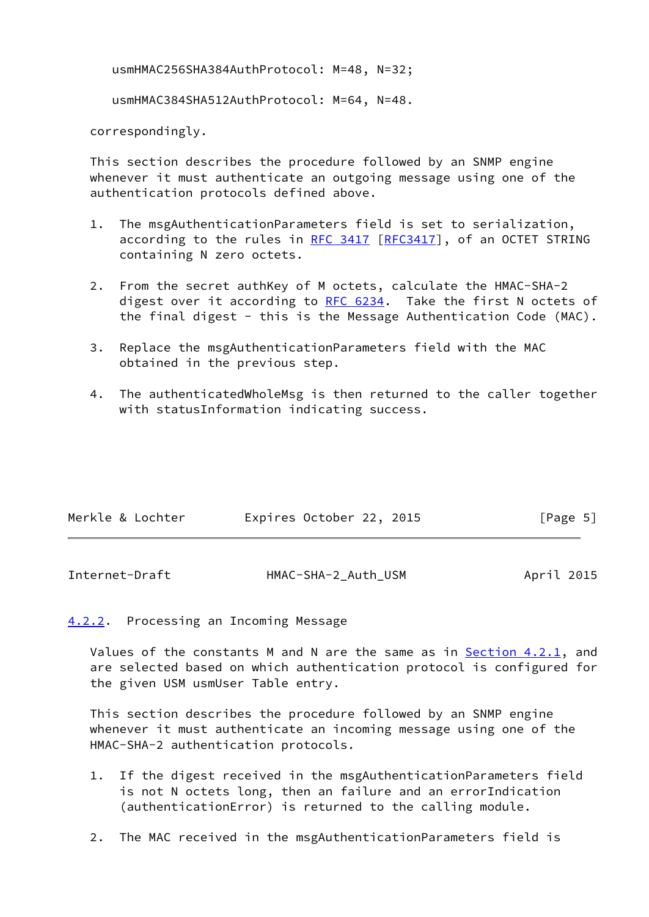usmHMAC256SHA384AuthProtocol: M=48, N=32;

usmHMAC384SHA512AuthProtocol: M=64, N=48.

correspondingly.

 This section describes the procedure followed by an SNMP engine whenever it must authenticate an outgoing message using one of the authentication protocols defined above.

- 1. The msgAuthenticationParameters field is set to serialization, according to the rules in [RFC 3417](https://datatracker.ietf.org/doc/pdf/rfc3417) [\[RFC3417](https://datatracker.ietf.org/doc/pdf/rfc3417)], of an OCTET STRING containing N zero octets.
- 2. From the secret authKey of M octets, calculate the HMAC-SHA-2 digest over it according to [RFC 6234](https://datatracker.ietf.org/doc/pdf/rfc6234). Take the first N octets of the final digest - this is the Message Authentication Code (MAC).
- 3. Replace the msgAuthenticationParameters field with the MAC obtained in the previous step.
- 4. The authenticatedWholeMsg is then returned to the caller together with statusInformation indicating success.

| Merkle & Lochter | Expires October 22, 2015 |  | [Page 5] |  |
|------------------|--------------------------|--|----------|--|
|                  |                          |  |          |  |

<span id="page-5-1"></span>

| Internet-Draft | HMAC-SHA-2_Auth_USM | April 2015 |
|----------------|---------------------|------------|
|----------------|---------------------|------------|

## <span id="page-5-0"></span>[4.2.2](#page-5-0). Processing an Incoming Message

Values of the constants M and N are the same as in [Section 4.2.1,](#page-4-2) and are selected based on which authentication protocol is configured for the given USM usmUser Table entry.

 This section describes the procedure followed by an SNMP engine whenever it must authenticate an incoming message using one of the HMAC-SHA-2 authentication protocols.

- 1. If the digest received in the msgAuthenticationParameters field is not N octets long, then an failure and an errorIndication (authenticationError) is returned to the calling module.
- 2. The MAC received in the msgAuthenticationParameters field is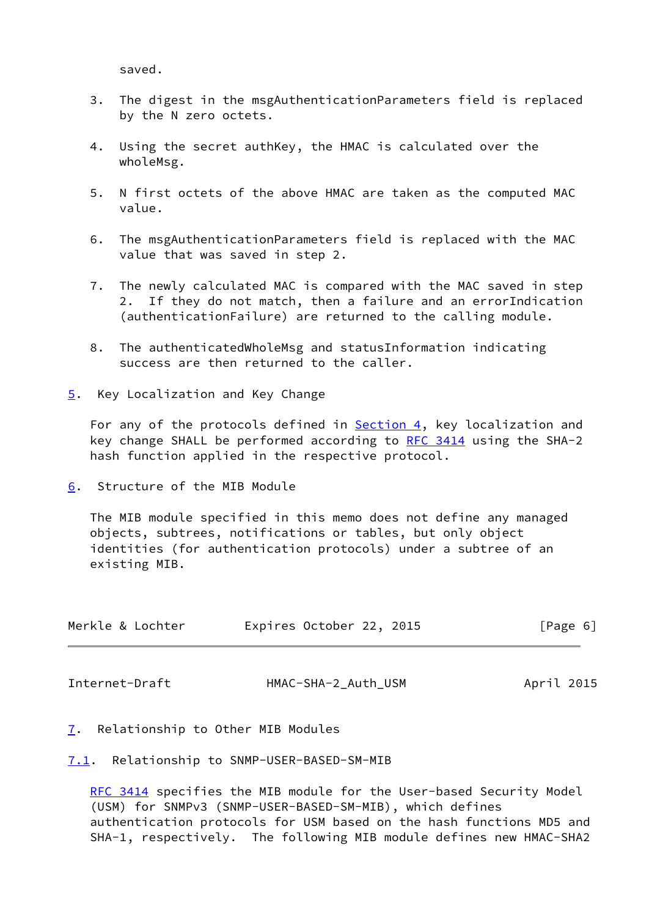saved.

- 3. The digest in the msgAuthenticationParameters field is replaced by the N zero octets.
- 4. Using the secret authKey, the HMAC is calculated over the wholeMsg.
- 5. N first octets of the above HMAC are taken as the computed MAC value.
- 6. The msgAuthenticationParameters field is replaced with the MAC value that was saved in step 2.
- 7. The newly calculated MAC is compared with the MAC saved in step 2. If they do not match, then a failure and an errorIndication (authenticationFailure) are returned to the calling module.
- 8. The authenticatedWholeMsg and statusInformation indicating success are then returned to the caller.
- <span id="page-6-0"></span>[5](#page-6-0). Key Localization and Key Change

For any of the protocols defined in **Section 4**, key localization and key change SHALL be performed according to [RFC 3414](https://datatracker.ietf.org/doc/pdf/rfc3414) using the SHA-2 hash function applied in the respective protocol.

<span id="page-6-1"></span>[6](#page-6-1). Structure of the MIB Module

 The MIB module specified in this memo does not define any managed objects, subtrees, notifications or tables, but only object identities (for authentication protocols) under a subtree of an existing MIB.

| Merkle & Lochter | Expires October 22, 2015 | [Page 6] |
|------------------|--------------------------|----------|
|                  |                          |          |

<span id="page-6-3"></span>Internet-Draft HMAC-SHA-2\_Auth\_USM April 2015

- <span id="page-6-2"></span>[7](#page-6-2). Relationship to Other MIB Modules
- <span id="page-6-4"></span>[7.1](#page-6-4). Relationship to SNMP-USER-BASED-SM-MIB

[RFC 3414](https://datatracker.ietf.org/doc/pdf/rfc3414) specifies the MIB module for the User-based Security Model (USM) for SNMPv3 (SNMP-USER-BASED-SM-MIB), which defines authentication protocols for USM based on the hash functions MD5 and SHA-1, respectively. The following MIB module defines new HMAC-SHA2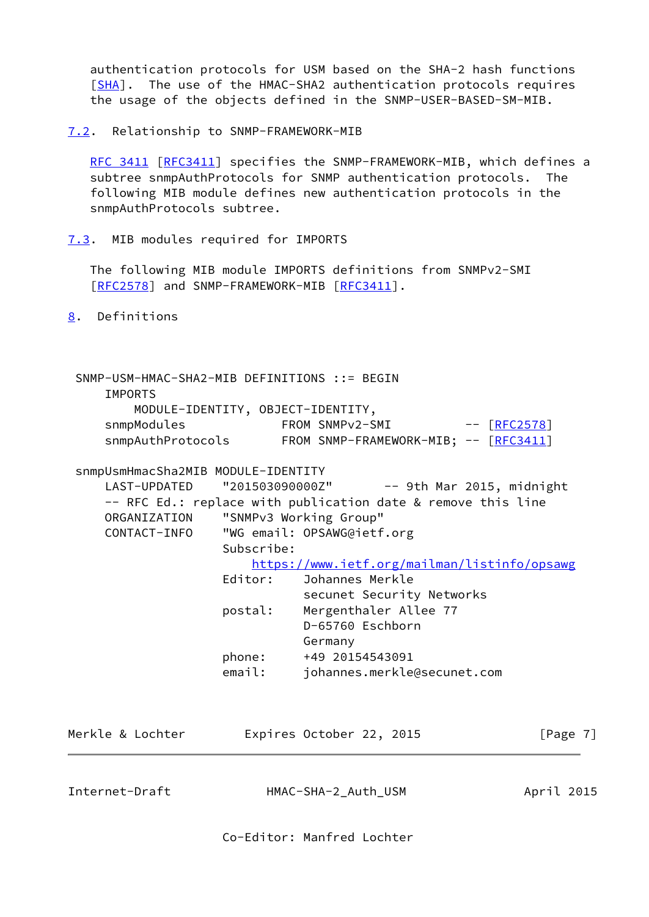authentication protocols for USM based on the SHA-2 hash functions [\[SHA](#page-13-2)]. The use of the HMAC-SHA2 authentication protocols requires the usage of the objects defined in the SNMP-USER-BASED-SM-MIB.

### <span id="page-7-0"></span>[7.2](#page-7-0). Relationship to SNMP-FRAMEWORK-MIB

 [RFC 3411](https://datatracker.ietf.org/doc/pdf/rfc3411) [\[RFC3411](https://datatracker.ietf.org/doc/pdf/rfc3411)] specifies the SNMP-FRAMEWORK-MIB, which defines a subtree snmpAuthProtocols for SNMP authentication protocols. The following MIB module defines new authentication protocols in the snmpAuthProtocols subtree.

<span id="page-7-1"></span>[7.3](#page-7-1). MIB modules required for IMPORTS

 The following MIB module IMPORTS definitions from SNMPv2-SMI [\[RFC2578](https://datatracker.ietf.org/doc/pdf/rfc2578)] and SNMP-FRAMEWORK-MIB [\[RFC3411](https://datatracker.ietf.org/doc/pdf/rfc3411)].

<span id="page-7-2"></span>[8](#page-7-2). Definitions

 SNMP-USM-HMAC-SHA2-MIB DEFINITIONS ::= BEGIN IMPORTS MODULE-IDENTITY, OBJECT-IDENTITY, snmpModules FROM SNMPv2-SMI -- [[RFC2578](https://datatracker.ietf.org/doc/pdf/rfc2578)] snmpAuthProtocols FROM SNMP-FRAMEWORK-MIB; -- [[RFC3411](https://datatracker.ietf.org/doc/pdf/rfc3411)]

snmpUsmHmacSha2MIB MODULE-IDENTITY

LAST-UPDATED "201503090000Z" -- 9th Mar 2015, midnight -- RFC Ed.: replace with publication date & remove this line ORGANIZATION "SNMPv3 Working Group" CONTACT-INFO "WG email: OPSAWG@ietf.org Subscribe: <https://www.ietf.org/mailman/listinfo/opsawg> Editor: Johannes Merkle

 secunet Security Networks postal: Mergenthaler Allee 77 D-65760 Eschborn Germany phone: +49 20154543091 email: johannes.merkle@secunet.com

| Merkle & Lochter | Expires October 22, 2015 | [Page 7] |
|------------------|--------------------------|----------|
|                  |                          |          |
|                  |                          |          |

Internet-Draft HMAC-SHA-2\_Auth\_USM April 2015

Co-Editor: Manfred Lochter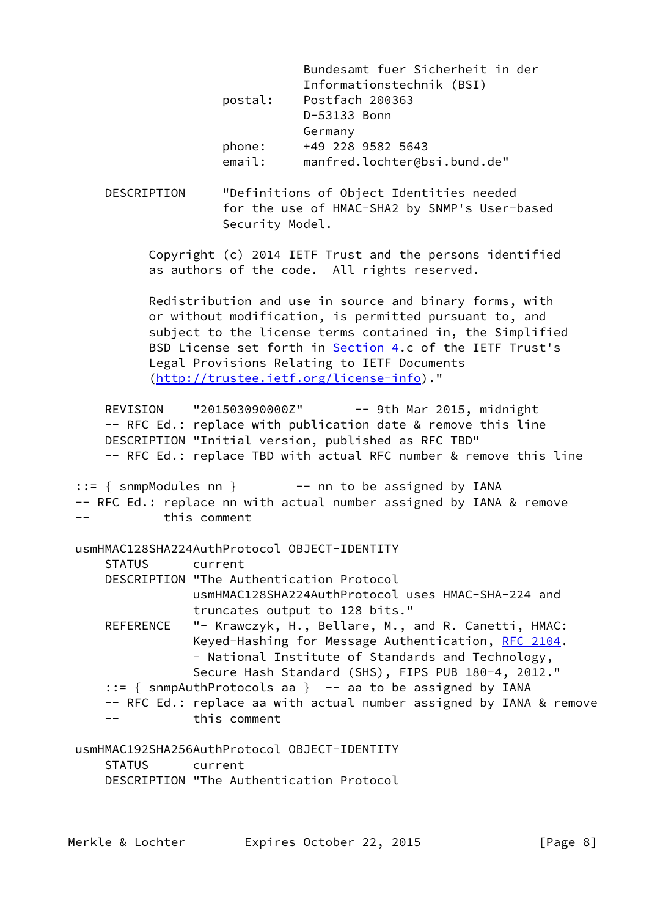|         | Bundesamt fuer Sicherheit in der |
|---------|----------------------------------|
|         | Informationstechnik (BSI)        |
| postal: | Postfach 200363                  |
|         | D-53133 Bonn                     |
|         | Germany                          |
| phone:  | +49 228 9582 5643                |
| email:  | manfred.lochter@bsi.bund.de"     |

 DESCRIPTION "Definitions of Object Identities needed for the use of HMAC-SHA2 by SNMP's User-based Security Model.

 Copyright (c) 2014 IETF Trust and the persons identified as authors of the code. All rights reserved.

 Redistribution and use in source and binary forms, with or without modification, is permitted pursuant to, and subject to the license terms contained in, the Simplified BSD License set forth in [Section 4](#page-2-3).c of the IETF Trust's Legal Provisions Relating to IETF Documents [\(http://trustee.ietf.org/license-info](http://trustee.ietf.org/license-info))."

REVISION "201503090000Z" -- 9th Mar 2015, midnight -- RFC Ed.: replace with publication date & remove this line DESCRIPTION "Initial version, published as RFC TBD" -- RFC Ed.: replace TBD with actual RFC number & remove this line

::= { snmpModules nn } -- nn to be assigned by IANA -- RFC Ed.: replace nn with actual number assigned by IANA & remove -- this comment

## usmHMAC128SHA224AuthProtocol OBJECT-IDENTITY

| STATUS | current                                                       |
|--------|---------------------------------------------------------------|
|        | DESCRIPTION "The Authentication Protocol                      |
|        | usmHMAC128SHA224AuthProtocol uses HMAC-SHA-224 and            |
|        | truncates output to 128 bits."                                |
|        | REFERENCE "- Krawczyk, H., Bellare, M., and R. Canetti, HMAC: |

- Keyed-Hashing for Message Authentication, [RFC 2104](https://datatracker.ietf.org/doc/pdf/rfc2104). - National Institute of Standards and Technology, Secure Hash Standard (SHS), FIPS PUB 180-4, 2012."
- ::= { snmpAuthProtocols aa } -- aa to be assigned by IANA
- -- RFC Ed.: replace aa with actual number assigned by IANA & remove -- this comment

 usmHMAC192SHA256AuthProtocol OBJECT-IDENTITY STATUS current DESCRIPTION "The Authentication Protocol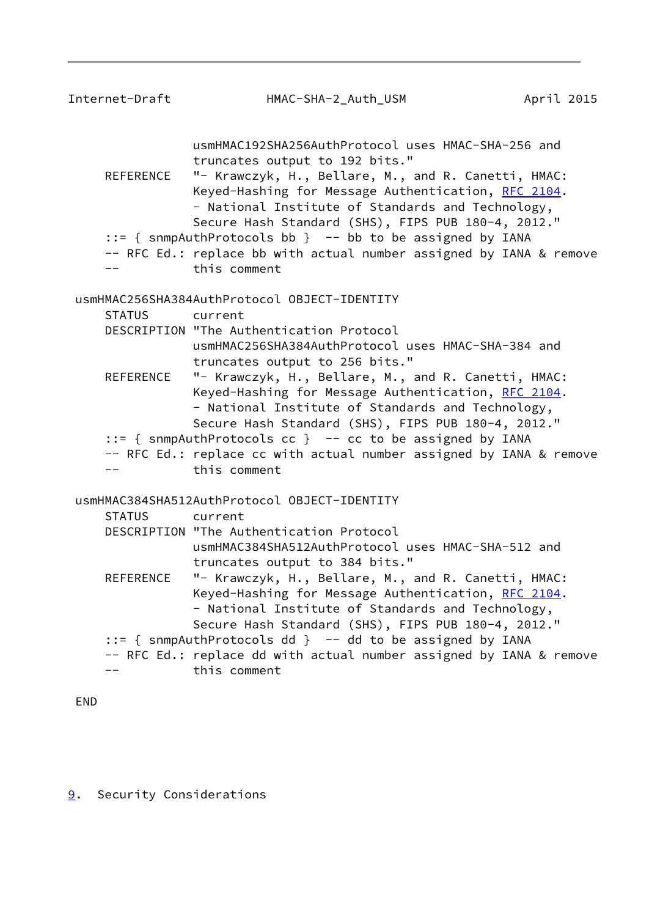<span id="page-9-1"></span>

| Internet-Draft | HMAC-SHA-2_Auth_USM                                                                                                                                                                                                                                                                                           | April 2015 |
|----------------|---------------------------------------------------------------------------------------------------------------------------------------------------------------------------------------------------------------------------------------------------------------------------------------------------------------|------------|
| REFERENCE      | usmHMAC192SHA256AuthProtocol uses HMAC-SHA-256 and<br>truncates output to 192 bits."<br>"- Krawczyk, H., Bellare, M., and R. Canetti, HMAC:<br>Keyed-Hashing for Message Authentication, RFC 2104.<br>- National Institute of Standards and Technology,<br>Secure Hash Standard (SHS), FIPS PUB 180-4, 2012." |            |
|                | $::=$ { snmpAuthProtocols bb } -- bb to be assigned by IANA<br>-- RFC Ed.: replace bb with actual number assigned by IANA & remove<br>this comment                                                                                                                                                            |            |
|                | usmHMAC256SHA384AuthProtocol OBJECT-IDENTITY                                                                                                                                                                                                                                                                  |            |
| <b>STATUS</b>  | current                                                                                                                                                                                                                                                                                                       |            |
|                | DESCRIPTION "The Authentication Protocol<br>usmHMAC256SHA384AuthProtocol uses HMAC-SHA-384 and<br>truncates output to 256 bits."                                                                                                                                                                              |            |
| REFERENCE      | "- Krawczyk, H., Bellare, M., and R. Canetti, HMAC:<br>Keyed-Hashing for Message Authentication, RFC 2104.<br>- National Institute of Standards and Technology,<br>Secure Hash Standard (SHS), FIPS PUB 180-4, 2012."                                                                                         |            |
|                | $::=$ { snmpAuthProtocols cc } -- cc to be assigned by IANA                                                                                                                                                                                                                                                   |            |
|                | -- RFC Ed.: replace cc with actual number assigned by IANA & remove<br>this comment                                                                                                                                                                                                                           |            |
|                | usmHMAC384SHA512AuthProtocol OBJECT-IDENTITY                                                                                                                                                                                                                                                                  |            |
| <b>STATUS</b>  | current                                                                                                                                                                                                                                                                                                       |            |
|                | DESCRIPTION "The Authentication Protocol<br>usmHMAC384SHA512AuthProtocol uses HMAC-SHA-512 and<br>truncates output to 384 bits."                                                                                                                                                                              |            |
| REFERENCE      | "- Krawczyk, H., Bellare, M., and R. Canetti, HMAC:<br>Keyed-Hashing for Message Authentication, RFC 2104.<br>- National Institute of Standards and Technology,<br>Secure Hash Standard (SHS), FIPS PUB 180-4, 2012."                                                                                         |            |
|                | ::= { snmpAuthProtocols dd } -- dd to be assigned by IANA                                                                                                                                                                                                                                                     |            |
|                | -- RFC Ed.: replace dd with actual number assigned by IANA & remove                                                                                                                                                                                                                                           |            |
|                | this comment                                                                                                                                                                                                                                                                                                  |            |
| <b>END</b>     |                                                                                                                                                                                                                                                                                                               |            |

<span id="page-9-0"></span>[9](#page-9-0). Security Considerations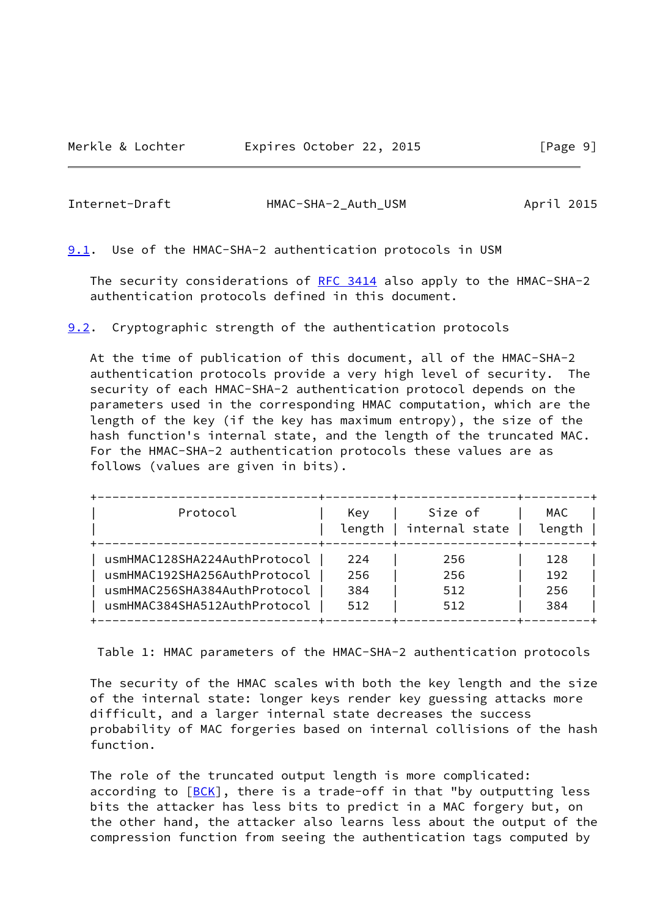<span id="page-10-1"></span>Internet-Draft HMAC-SHA-2\_Auth\_USM April 2015

<span id="page-10-0"></span>[9.1](#page-10-0). Use of the HMAC-SHA-2 authentication protocols in USM

The security considerations of [RFC 3414](https://datatracker.ietf.org/doc/pdf/rfc3414) also apply to the HMAC-SHA-2 authentication protocols defined in this document.

<span id="page-10-2"></span>[9.2](#page-10-2). Cryptographic strength of the authentication protocols

 At the time of publication of this document, all of the HMAC-SHA-2 authentication protocols provide a very high level of security. The security of each HMAC-SHA-2 authentication protocol depends on the parameters used in the corresponding HMAC computation, which are the length of the key (if the key has maximum entropy), the size of the hash function's internal state, and the length of the truncated MAC. For the HMAC-SHA-2 authentication protocols these values are as follows (values are given in bits).

| Protocol                     | Kev<br>length | Size of<br>internal state | MAC<br>length |
|------------------------------|---------------|---------------------------|---------------|
| usmHMAC128SHA224AuthProtocol | 224           | 256                       | 128           |
| usmHMAC192SHA256AuthProtocol | 256           | 256                       | 192           |
| usmHMAC256SHA384AuthProtocol | 384           | 512                       | 256           |
| usmHMAC384SHA512AuthProtocol | 512           | 512                       | 384           |

Table 1: HMAC parameters of the HMAC-SHA-2 authentication protocols

 The security of the HMAC scales with both the key length and the size of the internal state: longer keys render key guessing attacks more difficult, and a larger internal state decreases the success probability of MAC forgeries based on internal collisions of the hash function.

 The role of the truncated output length is more complicated: according to [\[BCK](#page-14-0)], there is a trade-off in that "by outputting less bits the attacker has less bits to predict in a MAC forgery but, on the other hand, the attacker also learns less about the output of the compression function from seeing the authentication tags computed by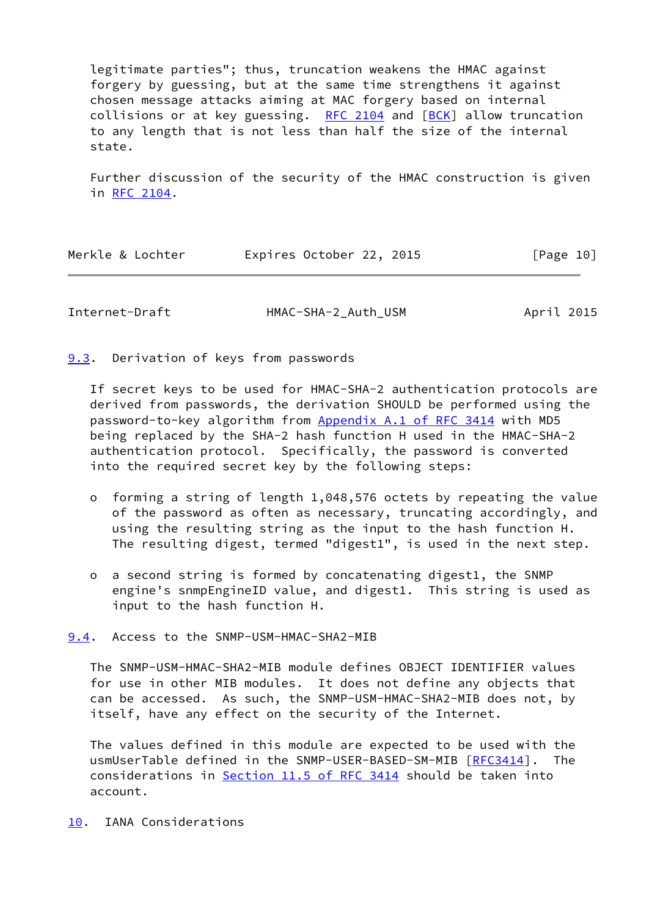legitimate parties"; thus, truncation weakens the HMAC against forgery by guessing, but at the same time strengthens it against chosen message attacks aiming at MAC forgery based on internal collisions or at key guessing. RFC  $2104$  and  $[BCK]$  $[BCK]$  allow truncation to any length that is not less than half the size of the internal state.

 Further discussion of the security of the HMAC construction is given in [RFC 2104.](https://datatracker.ietf.org/doc/pdf/rfc2104)

| Merkle & Lochter | Expires October 22, 2015 | [Page 10] |
|------------------|--------------------------|-----------|
|                  |                          |           |

<span id="page-11-1"></span>Internet-Draft HMAC-SHA-2 Auth USM April 2015

<span id="page-11-0"></span>[9.3](#page-11-0). Derivation of keys from passwords

 If secret keys to be used for HMAC-SHA-2 authentication protocols are derived from passwords, the derivation SHOULD be performed using the password-to-key algorithm from Appendix [A.1 of RFC 3414](https://datatracker.ietf.org/doc/pdf/rfc3414#appendix-A.1) with MD5 being replaced by the SHA-2 hash function H used in the HMAC-SHA-2 authentication protocol. Specifically, the password is converted into the required secret key by the following steps:

- o forming a string of length 1,048,576 octets by repeating the value of the password as often as necessary, truncating accordingly, and using the resulting string as the input to the hash function H. The resulting digest, termed "digest1", is used in the next step.
- o a second string is formed by concatenating digest1, the SNMP engine's snmpEngineID value, and digest1. This string is used as input to the hash function H.

<span id="page-11-2"></span>[9.4](#page-11-2). Access to the SNMP-USM-HMAC-SHA2-MIB

 The SNMP-USM-HMAC-SHA2-MIB module defines OBJECT IDENTIFIER values for use in other MIB modules. It does not define any objects that can be accessed. As such, the SNMP-USM-HMAC-SHA2-MIB does not, by itself, have any effect on the security of the Internet.

 The values defined in this module are expected to be used with the usmUserTable defined in the SNMP-USER-BASED-SM-MIB [[RFC3414\]](https://datatracker.ietf.org/doc/pdf/rfc3414). The considerations in Section [11.5 of RFC 3414](https://datatracker.ietf.org/doc/pdf/rfc3414#section-11.5) should be taken into account.

<span id="page-11-3"></span>[10.](#page-11-3) IANA Considerations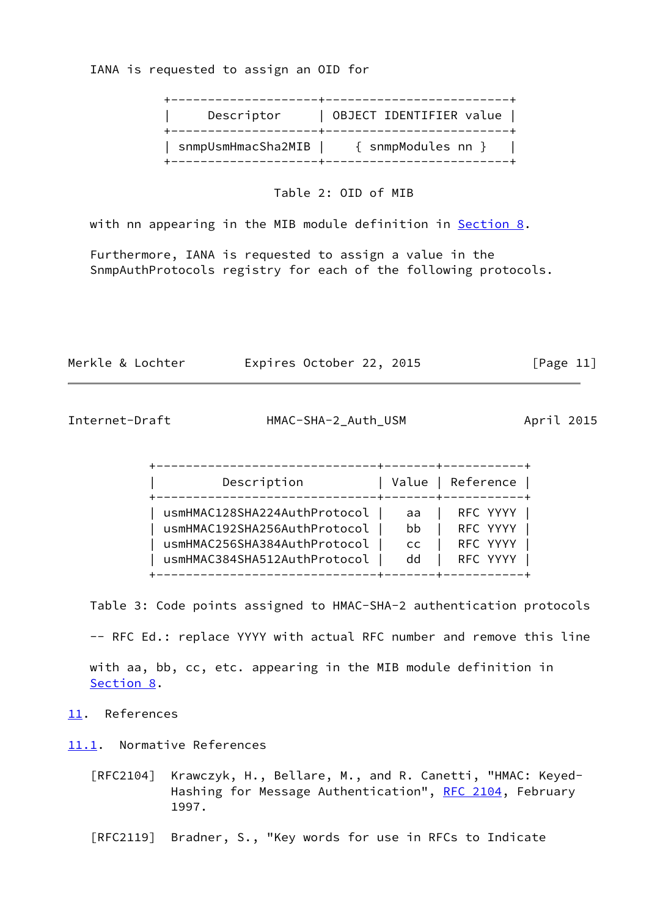IANA is requested to assign an OID for

| Descriptor | OBJECT IDENTIFIER value                 |
|------------|-----------------------------------------|
|            | snmpUsmHmacSha2MIB   { snmpModules nn } |

Table 2: OID of MIB

with nn appearing in the MIB module definition in [Section 8.](#page-7-2)

 Furthermore, IANA is requested to assign a value in the SnmpAuthProtocols registry for each of the following protocols.

| Merkle & Lochter | Expires October 22, 2015 | [Page 11] |
|------------------|--------------------------|-----------|
|------------------|--------------------------|-----------|

<span id="page-12-1"></span>Internet-Draft HMAC-SHA-2\_Auth\_USM April 2015

| Description                  |           | Value   Reference |
|------------------------------|-----------|-------------------|
| usmHMAC128SHA224AuthProtocol | aa        | RFC YYYY          |
| usmHMAC192SHA256AuthProtocol | bb        | RFC YYYY          |
| usmHMAC256SHA384AuthProtocol | <b>CC</b> | RFC YYYY          |
| usmHMAC384SHA512AuthProtocol | dd        | RFC YYYY          |

Table 3: Code points assigned to HMAC-SHA-2 authentication protocols

-- RFC Ed.: replace YYYY with actual RFC number and remove this line

 with aa, bb, cc, etc. appearing in the MIB module definition in [Section 8](#page-7-2).

- <span id="page-12-0"></span>[11.](#page-12-0) References
- <span id="page-12-2"></span>[11.1](#page-12-2). Normative References
	- [RFC2104] Krawczyk, H., Bellare, M., and R. Canetti, "HMAC: Keyed- Hashing for Message Authentication", [RFC 2104](https://datatracker.ietf.org/doc/pdf/rfc2104), February 1997.
	- [RFC2119] Bradner, S., "Key words for use in RFCs to Indicate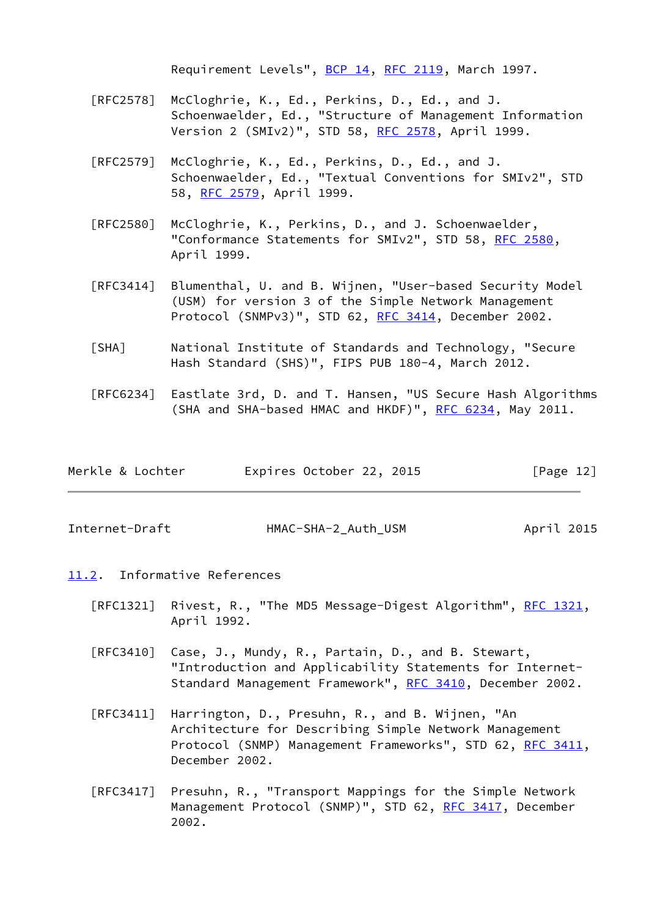Requirement Levels", [BCP 14](https://datatracker.ietf.org/doc/pdf/bcp14), [RFC 2119](https://datatracker.ietf.org/doc/pdf/rfc2119), March 1997.

- [RFC2578] McCloghrie, K., Ed., Perkins, D., Ed., and J. Schoenwaelder, Ed., "Structure of Management Information Version 2 (SMIv2)", STD 58, <u>RFC 2578</u>, April 1999.
- [RFC2579] McCloghrie, K., Ed., Perkins, D., Ed., and J. Schoenwaelder, Ed., "Textual Conventions for SMIv2", STD 58, [RFC 2579,](https://datatracker.ietf.org/doc/pdf/rfc2579) April 1999.
- [RFC2580] McCloghrie, K., Perkins, D., and J. Schoenwaelder, "Conformance Statements for SMIv2", STD 58, [RFC 2580,](https://datatracker.ietf.org/doc/pdf/rfc2580) April 1999.
- [RFC3414] Blumenthal, U. and B. Wijnen, "User-based Security Model (USM) for version 3 of the Simple Network Management Protocol (SNMPv3)", STD 62, [RFC 3414,](https://datatracker.ietf.org/doc/pdf/rfc3414) December 2002.
- <span id="page-13-2"></span> [SHA] National Institute of Standards and Technology, "Secure Hash Standard (SHS)", FIPS PUB 180-4, March 2012.
- [RFC6234] Eastlate 3rd, D. and T. Hansen, "US Secure Hash Algorithms (SHA and SHA-based HMAC and HKDF)", [RFC 6234,](https://datatracker.ietf.org/doc/pdf/rfc6234) May 2011.

| Merkle & Lochter |  | Expires October 22, 2015 |  |  | [Page 12] |  |
|------------------|--|--------------------------|--|--|-----------|--|
|------------------|--|--------------------------|--|--|-----------|--|

<span id="page-13-1"></span>Internet-Draft HMAC-SHA-2\_Auth\_USM April 2015

- <span id="page-13-0"></span>[11.2](#page-13-0). Informative References
	- [RFC1321] Rivest, R., "The MD5 Message-Digest Algorithm", [RFC 1321,](https://datatracker.ietf.org/doc/pdf/rfc1321) April 1992.
	- [RFC3410] Case, J., Mundy, R., Partain, D., and B. Stewart, "Introduction and Applicability Statements for Internet- Standard Management Framework", [RFC 3410,](https://datatracker.ietf.org/doc/pdf/rfc3410) December 2002.
	- [RFC3411] Harrington, D., Presuhn, R., and B. Wijnen, "An Architecture for Describing Simple Network Management Protocol (SNMP) Management Frameworks", STD 62, [RFC 3411,](https://datatracker.ietf.org/doc/pdf/rfc3411) December 2002.
	- [RFC3417] Presuhn, R., "Transport Mappings for the Simple Network Management Protocol (SNMP)", STD 62, [RFC 3417](https://datatracker.ietf.org/doc/pdf/rfc3417), December 2002.